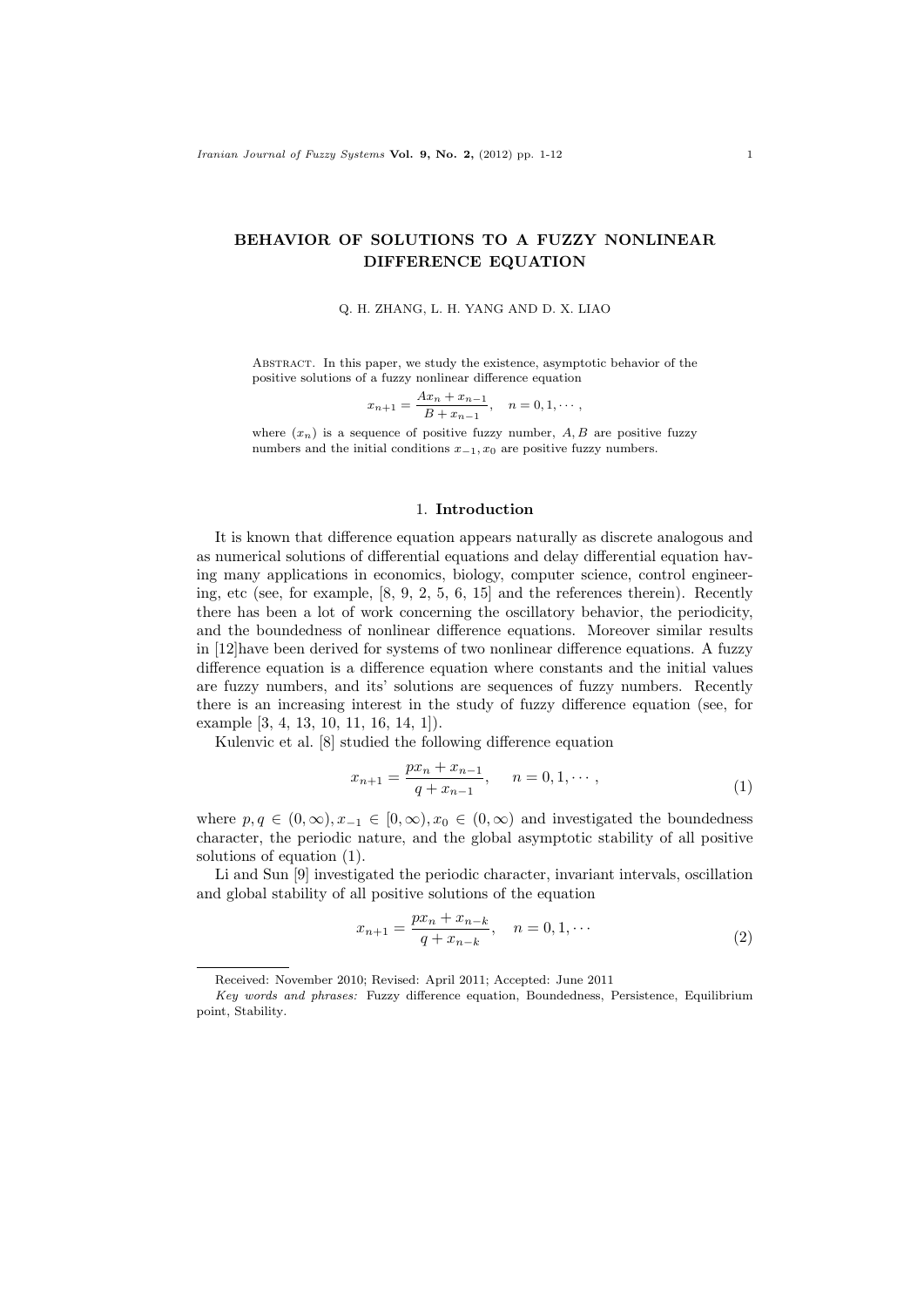# **BEHAVIOR OF SOLUTIONS TO A FUZZY NONLINEAR DIFFERENCE EQUATION**

#### Q. H. ZHANG, L. H. YANG AND D. X. LIAO

Abstract. In this paper, we study the existence, asymptotic behavior of the positive solutions of a fuzzy nonlinear difference equation

$$
x_{n+1} = \frac{Ax_n + x_{n-1}}{B + x_{n-1}}, \quad n = 0, 1, \cdots,
$$

where  $(x_n)$  is a sequence of positive fuzzy number,  $A, B$  are positive fuzzy numbers and the initial conditions *x−*1*, x*<sup>0</sup> are positive fuzzy numbers.

### 1. **Introduction**

It is known that difference equation appears naturally as discrete analogous and as numerical solutions of differential equations and delay differential equation having many applications in economics, biology, computer science, control engineering, etc (see, for example, [8, 9, 2, 5, 6, 15] and the references therein). Recently there has been a lot of work concerning the oscillatory behavior, the periodicity, and the boundedness of nonlinear difference equations. Moreover similar results in [12]have been derived for systems of two nonlinear difference equations. A fuzzy difference equation is a difference equation where constants and the initial values are fuzzy numbers, and its' solutions are sequences of fuzzy numbers. Recently there is an increasing interest in the study of fuzzy difference equation (see, for example [3, 4, 13, 10, 11, 16, 14, 1]).

Kulenvic et al. [8] studied the following difference equation

$$
x_{n+1} = \frac{px_n + x_{n-1}}{q + x_{n-1}}, \quad n = 0, 1, \cdots,
$$
\n(1)

where  $p, q \in (0, \infty), x_{-1} \in [0, \infty), x_0 \in (0, \infty)$  and investigated the boundedness character, the periodic nature, and the global asymptotic stability of all positive solutions of equation (1).

Li and Sun [9] investigated the periodic character, invariant intervals, oscillation and global stability of all positive solutions of the equation

$$
x_{n+1} = \frac{px_n + x_{n-k}}{q + x_{n-k}}, \quad n = 0, 1, \cdots
$$
 (2)

Received: November 2010; Revised: April 2011; Accepted: June 2011

*Key words and phrases:* Fuzzy difference equation, Boundedness, Persistence, Equilibrium point, Stability.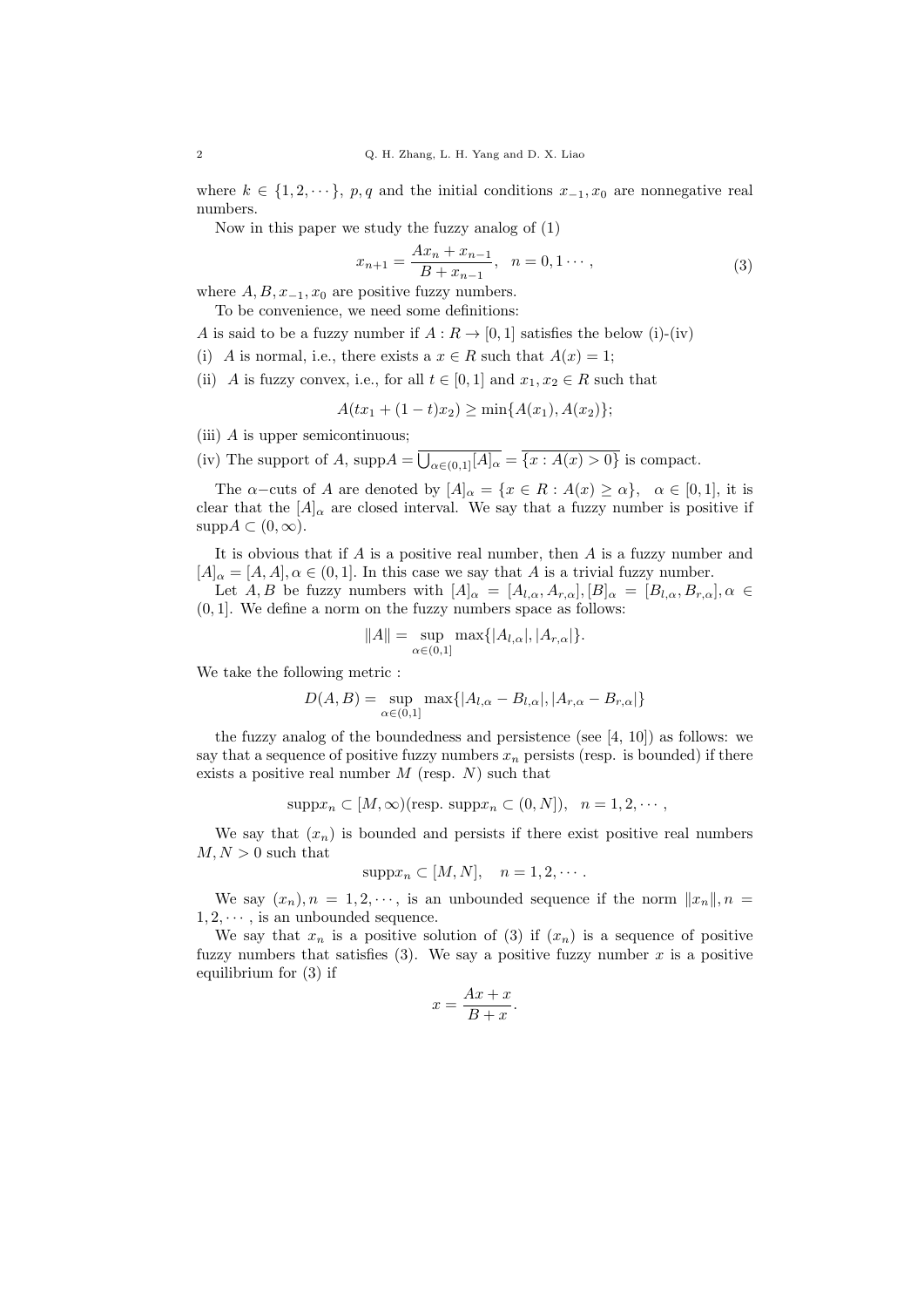where  $k \in \{1, 2, \dots\}$ , *p*, *q* and the initial conditions  $x_{-1}, x_0$  are nonnegative real numbers.

Now in this paper we study the fuzzy analog of (1)

$$
x_{n+1} = \frac{Ax_n + x_{n-1}}{B + x_{n-1}}, \quad n = 0, 1 \cdots,
$$
\n(3)

where  $A, B, x_{-1}, x_0$  are positive fuzzy numbers.

To be convenience, we need some definitions:

*A* is said to be a fuzzy number if  $A: R \to [0, 1]$  satisfies the below (i)-(iv)

- (i) *A* is normal, i.e., there exists a  $x \in R$  such that  $A(x) = 1$ ;
- (ii) *A* is fuzzy convex, i.e., for all  $t \in [0,1]$  and  $x_1, x_2 \in R$  such that

$$
A(tx_1 + (1-t)x_2) \ge \min\{A(x_1), A(x_2)\};
$$

- (iii) *A* is upper semicontinuous;
- (iv) The support of *A*, supp $A = \overline{\bigcup_{\alpha \in (0,1]} [A]_{\alpha}} = \overline{\{x : A(x) > 0\}}$  is compact.

The  $\alpha$ −cuts of *A* are denoted by  $[A]_{\alpha} = \{x \in R : A(x) \geq \alpha\}$ ,  $\alpha \in [0,1]$ , it is clear that the  $[A]_{\alpha}$  are closed interval. We say that a fuzzy number is positive if  $supp A \subset (0, \infty)$ .

It is obvious that if *A* is a positive real number, then *A* is a fuzzy number and  $[A]_{\alpha} = [A, A], \alpha \in (0, 1]$ . In this case we say that *A* is a trivial fuzzy number.

Let *A, B* be fuzzy numbers with  $[A]_{\alpha} = [A_{l,\alpha}, A_{r,\alpha}], [B]_{\alpha} = [B_{l,\alpha}, B_{r,\alpha}], \alpha \in$ (0*,* 1]. We define a norm on the fuzzy numbers space as follows:

$$
||A|| = \sup_{\alpha \in (0,1]} \max\{|A_{l,\alpha}|, |A_{r,\alpha}|\}.
$$

We take the following metric :

$$
D(A, B) = \sup_{\alpha \in (0, 1]} \max\{|A_{l, \alpha} - B_{l, \alpha}|, |A_{r, \alpha} - B_{r, \alpha}|\}
$$

the fuzzy analog of the boundedness and persistence (see [4, 10]) as follows: we say that a sequence of positive fuzzy numbers  $x_n$  persists (resp. is bounded) if there exists a positive real number *M* (resp. *N*) such that

$$
supp x_n \subset [M,\infty)
$$
 (resp.  $supp x_n \subset (0,N]$ ),  $n = 1,2,\cdots$ ,

We say that  $(x_n)$  is bounded and persists if there exist positive real numbers  $M, N > 0$  such that

$$
supp x_n \subset [M, N], \quad n = 1, 2, \cdots.
$$

We say  $(x_n)$ ,  $n = 1, 2, \cdots$ , is an unbounded sequence if the norm  $||x_n||$ ,  $n =$  $1, 2, \cdots$ , is an unbounded sequence.

We say that  $x_n$  is a positive solution of (3) if  $(x_n)$  is a sequence of positive fuzzy numbers that satisfies  $(3)$ . We say a positive fuzzy number x is a positive equilibrium for (3) if

$$
x = \frac{Ax + x}{B + x}.
$$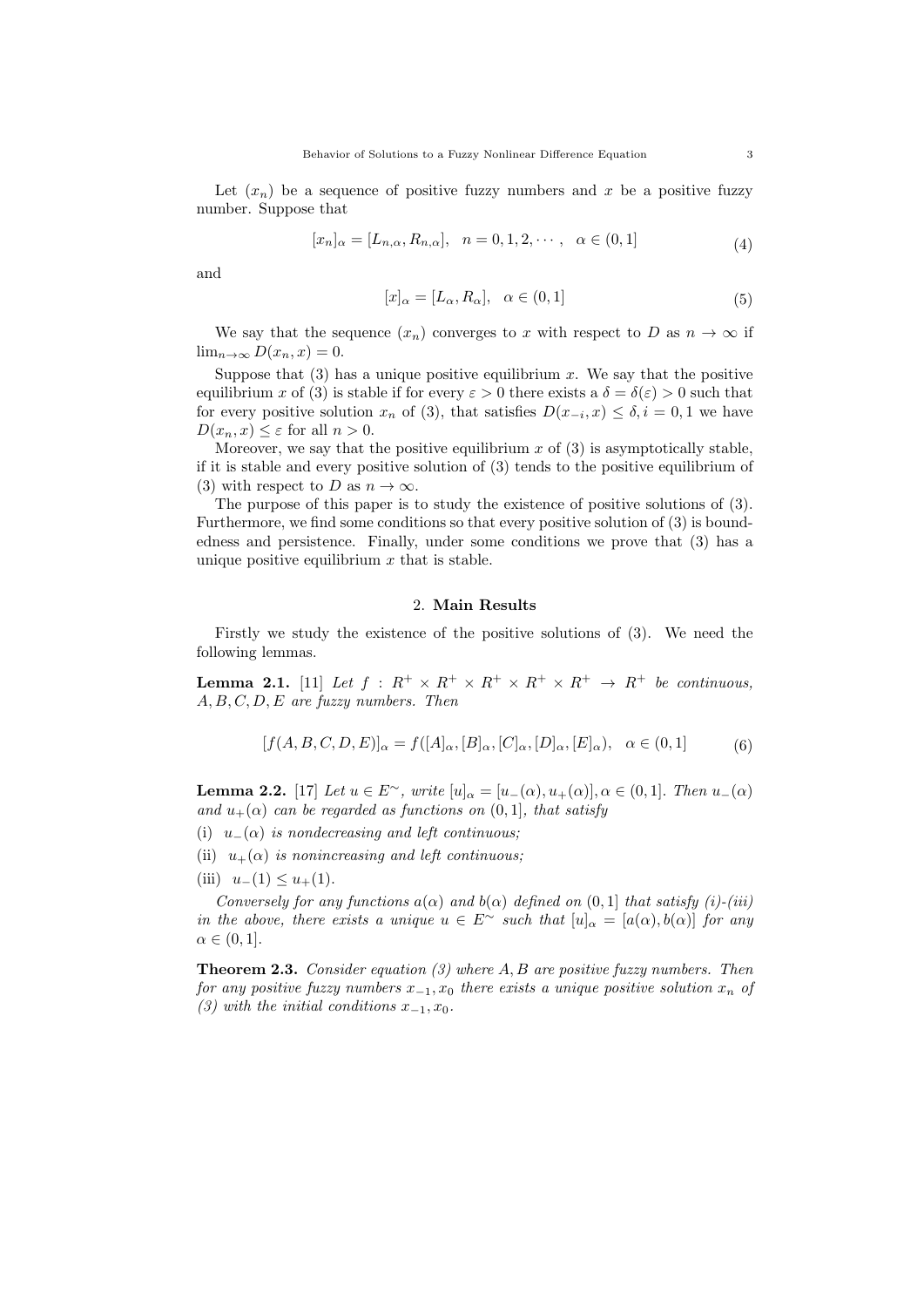Let  $(x_n)$  be a sequence of positive fuzzy numbers and x be a positive fuzzy number. Suppose that

$$
[x_n]_{\alpha} = [L_{n,\alpha}, R_{n,\alpha}], \quad n = 0, 1, 2, \cdots, \quad \alpha \in (0, 1]
$$
 (4)

and

$$
[x]_{\alpha} = [L_{\alpha}, R_{\alpha}], \quad \alpha \in (0, 1]
$$
\n
$$
(5)
$$

We say that the sequence  $(x_n)$  converges to *x* with respect to *D* as  $n \to \infty$  if  $\lim_{n\to\infty} D(x_n, x) = 0.$ 

Suppose that  $(3)$  has a unique positive equilibrium x. We say that the positive equilibrium *x* of (3) is stable if for every  $\varepsilon > 0$  there exists a  $\delta = \delta(\varepsilon) > 0$  such that for every positive solution  $x_n$  of (3), that satisfies  $D(x_{-i}, x) \leq \delta, i = 0, 1$  we have  $D(x_n, x) \leq \varepsilon$  for all  $n > 0$ .

Moreover, we say that the positive equilibrium  $x$  of  $(3)$  is asymptotically stable, if it is stable and every positive solution of (3) tends to the positive equilibrium of (3) with respect to *D* as  $n \to \infty$ .

The purpose of this paper is to study the existence of positive solutions of (3). Furthermore, we find some conditions so that every positive solution of (3) is boundedness and persistence. Finally, under some conditions we prove that (3) has a unique positive equilibrium *x* that is stable.

## 2. **Main Results**

Firstly we study the existence of the positive solutions of (3). We need the following lemmas.

**Lemma 2.1.** [11] Let  $f: R^+ \times R^+ \times R^+ \times R^+ \times R^+ \to R^+$  be continuous, *A, B, C, D, E are fuzzy numbers. Then*

$$
[f(A, B, C, D, E)]_{\alpha} = f([A]_{\alpha}, [B]_{\alpha}, [C]_{\alpha}, [D]_{\alpha}, [E]_{\alpha}), \quad \alpha \in (0, 1]
$$
 (6)

**Lemma 2.2.** [17] Let  $u \in E^{\sim}$ , write  $[u]_{\alpha} = [u_{-}(\alpha), u_{+}(\alpha)], \alpha \in (0, 1]$ . Then  $u_{-}(\alpha)$ *and*  $u_{+}(\alpha)$  *can be regarded as functions on*  $(0, 1]$ *, that satisfy* 

- (i) *u−*(*α*) *is nondecreasing and left continuous;*
- (ii)  $u_{+}(\alpha)$  *is nonincreasing and left continuous;*
- (iii)  $u_-(1) \leq u_+(1)$ .

*Conversely for any functions*  $a(\alpha)$  *and*  $b(\alpha)$  *defined on*  $(0,1]$  *that satisfy*  $(i)$ - $(iii)$ *in the above, there exists a unique*  $u \in E^{\sim}$  *such that*  $[u]_{\alpha} = [a(\alpha), b(\alpha)]$  *for any*  $\alpha \in (0,1].$ 

**Theorem 2.3.** *Consider equation (3) where A, B are positive fuzzy numbers. Then for any positive fuzzy numbers x−*<sup>1</sup>*, x*<sup>0</sup> *there exists a unique positive solution x<sup>n</sup> of (3)* with the initial conditions  $x_{-1}$ ,  $x_0$ .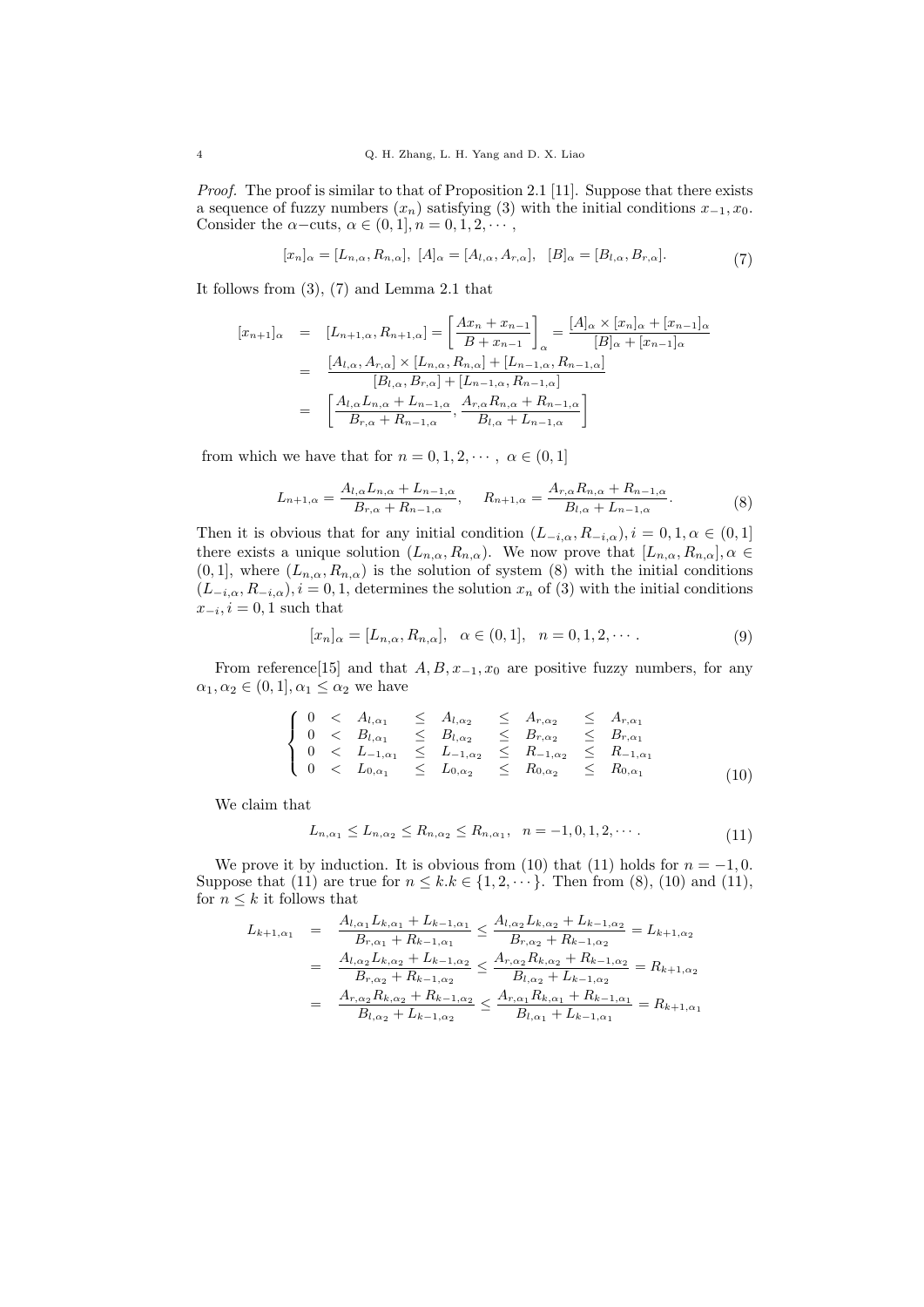*Proof.* The proof is similar to that of Proposition 2.1 [11]. Suppose that there exists a sequence of fuzzy numbers (*xn*) satisfying (3) with the initial conditions *x−*<sup>1</sup>*, x*0. Consider the  $\alpha$ −cuts,  $\alpha \in (0, 1], n = 0, 1, 2, \cdots$ ,

$$
[x_n]_{\alpha} = [L_{n,\alpha}, R_{n,\alpha}], \ [A]_{\alpha} = [A_{l,\alpha}, A_{r,\alpha}], \ [B]_{\alpha} = [B_{l,\alpha}, B_{r,\alpha}].
$$
 (7)

It follows from (3), (7) and Lemma 2.1 that

$$
[x_{n+1}]_{\alpha} = [L_{n+1,\alpha}, R_{n+1,\alpha}] = \left[\frac{Ax_n + x_{n-1}}{B + x_{n-1}}\right]_{\alpha} = \frac{[A]_{\alpha} \times [x_n]_{\alpha} + [x_{n-1}]_{\alpha}}{[B]_{\alpha} + [x_{n-1}]_{\alpha}}
$$
  

$$
= \frac{[A_{l,\alpha}, A_{r,\alpha}] \times [L_{n,\alpha}, R_{n,\alpha}] + [L_{n-1,\alpha}, R_{n-1,\alpha}]}{[B_{l,\alpha}, B_{r,\alpha}] + [L_{n-1,\alpha}, R_{n-1,\alpha}]}
$$
  

$$
= \left[\frac{A_{l,\alpha}L_{n,\alpha} + L_{n-1,\alpha}}{B_{r,\alpha} + R_{n-1,\alpha}}, \frac{A_{r,\alpha}R_{n,\alpha} + R_{n-1,\alpha}}{B_{l,\alpha} + L_{n-1,\alpha}}\right]
$$

from which we have that for  $n = 0, 1, 2, \cdots, \alpha \in (0, 1]$ 

$$
L_{n+1,\alpha} = \frac{A_{l,\alpha} L_{n,\alpha} + L_{n-1,\alpha}}{B_{r,\alpha} + R_{n-1,\alpha}}, \qquad R_{n+1,\alpha} = \frac{A_{r,\alpha} R_{n,\alpha} + R_{n-1,\alpha}}{B_{l,\alpha} + L_{n-1,\alpha}}.
$$
 (8)

Then it is obvious that for any initial condition  $(L_{-i,\alpha}, R_{-i,\alpha}), i = 0, 1, \alpha \in (0,1]$ there exists a unique solution  $(L_{n,\alpha}, R_{n,\alpha})$ . We now prove that  $[L_{n,\alpha}, R_{n,\alpha}]$ ,  $\alpha \in$  $(0,1]$ , where  $(L_{n,\alpha}, R_{n,\alpha})$  is the solution of system  $(8)$  with the initial conditions  $(L_{-i,\alpha}, R_{-i,\alpha}), i = 0, 1$ , determines the solution  $x_n$  of (3) with the initial conditions  $x_{-i}$ ,  $i = 0, 1$  such that

$$
[x_n]_{\alpha} = [L_{n,\alpha}, R_{n,\alpha}], \ \alpha \in (0,1], \ n = 0, 1, 2, \cdots.
$$
 (9)

From reference[15] and that  $A, B, x_{-1}, x_0$  are positive fuzzy numbers, for any  $\alpha_1, \alpha_2 \in (0, 1], \alpha_1 \leq \alpha_2$  we have

$$
\begin{cases}\n0 < A_{l,\alpha_1} \leq A_{l,\alpha_2} \leq A_{r,\alpha_2} \leq A_{r,\alpha_1} \\
0 < B_{l,\alpha_1} \leq B_{l,\alpha_2} \leq B_{r,\alpha_2} \leq B_{r,\alpha_1} \\
0 < L_{-1,\alpha_1} \leq L_{-1,\alpha_2} \leq R_{-1,\alpha_2} \leq R_{-1,\alpha_1} \\
0 < L_{0,\alpha_1} \leq L_{0,\alpha_2} \leq R_{0,\alpha_2} \leq R_{0,\alpha_1}\n\end{cases} \tag{10}
$$

We claim that

$$
L_{n,\alpha_1} \le L_{n,\alpha_2} \le R_{n,\alpha_2} \le R_{n,\alpha_1}, \quad n = -1, 0, 1, 2, \cdots. \tag{11}
$$

We prove it by induction. It is obvious from (10) that (11) holds for  $n = -1, 0$ . Suppose that (11) are true for  $n \leq k \leq \{1, 2, \dots\}$ . Then from (8), (10) and (11), for  $n \leq k$  it follows that

$$
L_{k+1,\alpha_1} = \frac{A_{l,\alpha_1} L_{k,\alpha_1} + L_{k-1,\alpha_1}}{B_{r,\alpha_1} + R_{k-1,\alpha_1}} \le \frac{A_{l,\alpha_2} L_{k,\alpha_2} + L_{k-1,\alpha_2}}{B_{r,\alpha_2} + R_{k-1,\alpha_2}} = L_{k+1,\alpha_2}
$$
  

$$
= \frac{A_{l,\alpha_2} L_{k,\alpha_2} + L_{k-1,\alpha_2}}{B_{r,\alpha_2} + R_{k-1,\alpha_2}} \le \frac{A_{r,\alpha_2} R_{k,\alpha_2} + R_{k-1,\alpha_2}}{B_{l,\alpha_2} + L_{k-1,\alpha_2}} = R_{k+1,\alpha_2}
$$
  

$$
= \frac{A_{r,\alpha_2} R_{k,\alpha_2} + R_{k-1,\alpha_2}}{B_{l,\alpha_2} + L_{k-1,\alpha_2}} \le \frac{A_{r,\alpha_1} R_{k,\alpha_1} + R_{k-1,\alpha_1}}{B_{l,\alpha_1} + L_{k-1,\alpha_1}} = R_{k+1,\alpha_1}
$$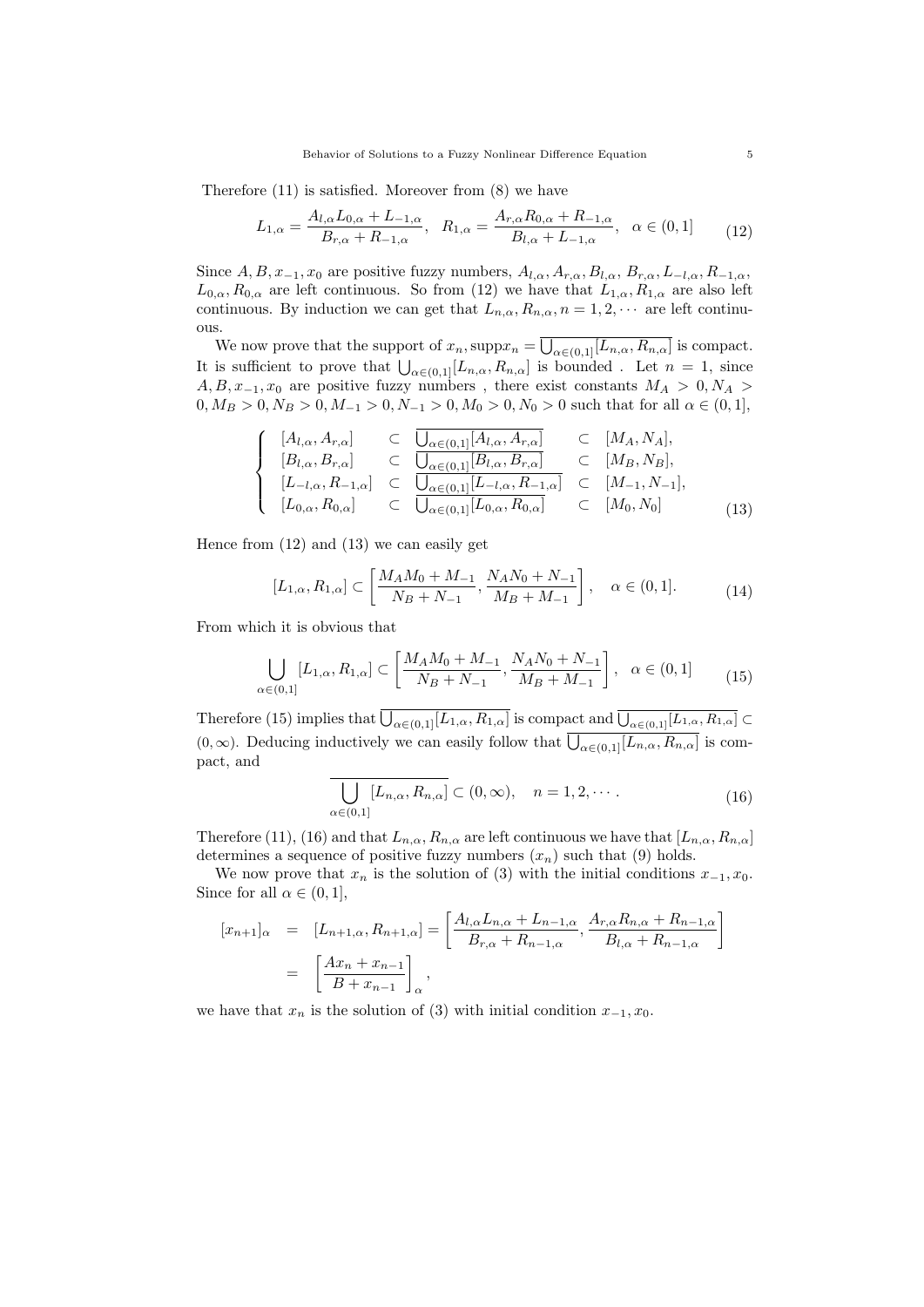Therefore (11) is satisfied. Moreover from (8) we have

$$
L_{1,\alpha} = \frac{A_{l,\alpha}L_{0,\alpha} + L_{-1,\alpha}}{B_{r,\alpha} + R_{-1,\alpha}}, \quad R_{1,\alpha} = \frac{A_{r,\alpha}R_{0,\alpha} + R_{-1,\alpha}}{B_{l,\alpha} + L_{-1,\alpha}}, \quad \alpha \in (0,1]
$$
(12)

Since  $A, B, x_{-1}, x_0$  are positive fuzzy numbers,  $A_{l,\alpha}, A_{r,\alpha}, B_{l,\alpha}, B_{r,\alpha}, L_{-l,\alpha}, R_{-1,\alpha}$  $L_{0,\alpha}, R_{0,\alpha}$  are left continuous. So from (12) we have that  $L_{1,\alpha}, R_{1,\alpha}$  are also left continuous. By induction we can get that  $L_{n,\alpha}, R_{n,\alpha}, n = 1, 2, \cdots$  are left continuous.

We now prove that the support of  $x_n$ ,  $\supp x_n = \overline{\bigcup_{\alpha \in (0,1]} [L_{n,\alpha}, R_{n,\alpha}]}$  is compact. It is sufficient to prove that  $\bigcup_{\alpha \in (0,1]} [L_{n,\alpha}, R_{n,\alpha}]$  is bounded. Let  $n = 1$ , since  $A, B, x$ <sub>−1</sub>,  $x_0$  are positive fuzzy numbers, there exist constants  $M_A > 0, N_A > 0$  $0, M_B > 0, N_B > 0, M_{-1} > 0, N_{-1} > 0, M_0 > 0, N_0 > 0$  such that for all  $\alpha \in (0, 1]$ ,

$$
\begin{cases}\n[A_{l,\alpha}, A_{r,\alpha}] & \subset \overline{\bigcup_{\alpha\in(0,1]}[A_{l,\alpha}, A_{r,\alpha}]} \\
[B_{l,\alpha}, B_{r,\alpha}] & \subset \overline{\bigcup_{\alpha\in(0,1]}[B_{l,\alpha}, B_{r,\alpha}]} \\
[L_{-l,\alpha}, R_{-1,\alpha}] & \subset \overline{\bigcup_{\alpha\in(0,1]}[L_{-l,\alpha}, R_{-1,\alpha}]} \\
[L_{0,\alpha}, R_{0,\alpha}] & \subset \overline{\bigcup_{\alpha\in(0,1]}[L_{0,\alpha}, R_{0,\alpha}]} \\
\end{cases}\n\begin{cases}\n[M_A, N_A], \\
[M_B, N_B], \\
[M_B, N_B], \\
[M_B, N_B], \\
\end{cases}
$$
\n(13)

Hence from (12) and (13) we can easily get

$$
[L_{1,\alpha}, R_{1,\alpha}] \subset \left[\frac{M_A M_0 + M_{-1}}{N_B + N_{-1}}, \frac{N_A N_0 + N_{-1}}{M_B + M_{-1}}\right], \quad \alpha \in (0, 1].
$$
 (14)

From which it is obvious that

$$
\bigcup_{\alpha \in (0,1]} [L_{1,\alpha}, R_{1,\alpha}] \subset \left[\frac{M_A M_0 + M_{-1}}{N_B + N_{-1}}, \frac{N_A N_0 + N_{-1}}{M_B + M_{-1}}\right], \quad \alpha \in (0,1]
$$
(15)

Therefore (15) implies that  $\overline{\bigcup_{\alpha \in (0,1]} [L_{1,\alpha}, R_{1,\alpha}]}$  is compact and  $\overline{\bigcup_{\alpha \in (0,1]} [L_{1,\alpha}, R_{1,\alpha}]}$  $(0, \infty)$ . Deducing inductively we can easily follow that  $\overline{\bigcup_{\alpha \in (0,1]} [L_{n,\alpha}, R_{n,\alpha}]}$  is compact, and

$$
\overline{\bigcup_{\alpha\in(0,1]}[L_{n,\alpha},R_{n,\alpha}]} \subset (0,\infty), \quad n=1,2,\cdots.
$$
 (16)

Therefore (11), (16) and that  $L_{n,\alpha}, R_{n,\alpha}$  are left continuous we have that  $[L_{n,\alpha}, R_{n,\alpha}]$ determines a sequence of positive fuzzy numbers  $(x_n)$  such that  $(9)$  holds.

We now prove that  $x_n$  is the solution of (3) with the initial conditions  $x_{-1}, x_0$ . Since for all  $\alpha \in (0, 1]$ ,

$$
[x_{n+1}]_{\alpha} = [L_{n+1,\alpha}, R_{n+1,\alpha}] = \left[\frac{A_{l,\alpha}L_{n,\alpha} + L_{n-1,\alpha}}{B_{r,\alpha} + R_{n-1,\alpha}}, \frac{A_{r,\alpha}R_{n,\alpha} + R_{n-1,\alpha}}{B_{l,\alpha} + R_{n-1,\alpha}}\right]
$$

$$
= \left[\frac{Ax_n + x_{n-1}}{B + x_{n-1}}\right]_{\alpha},
$$

we have that  $x_n$  is the solution of (3) with initial condition  $x_{-1}, x_0$ .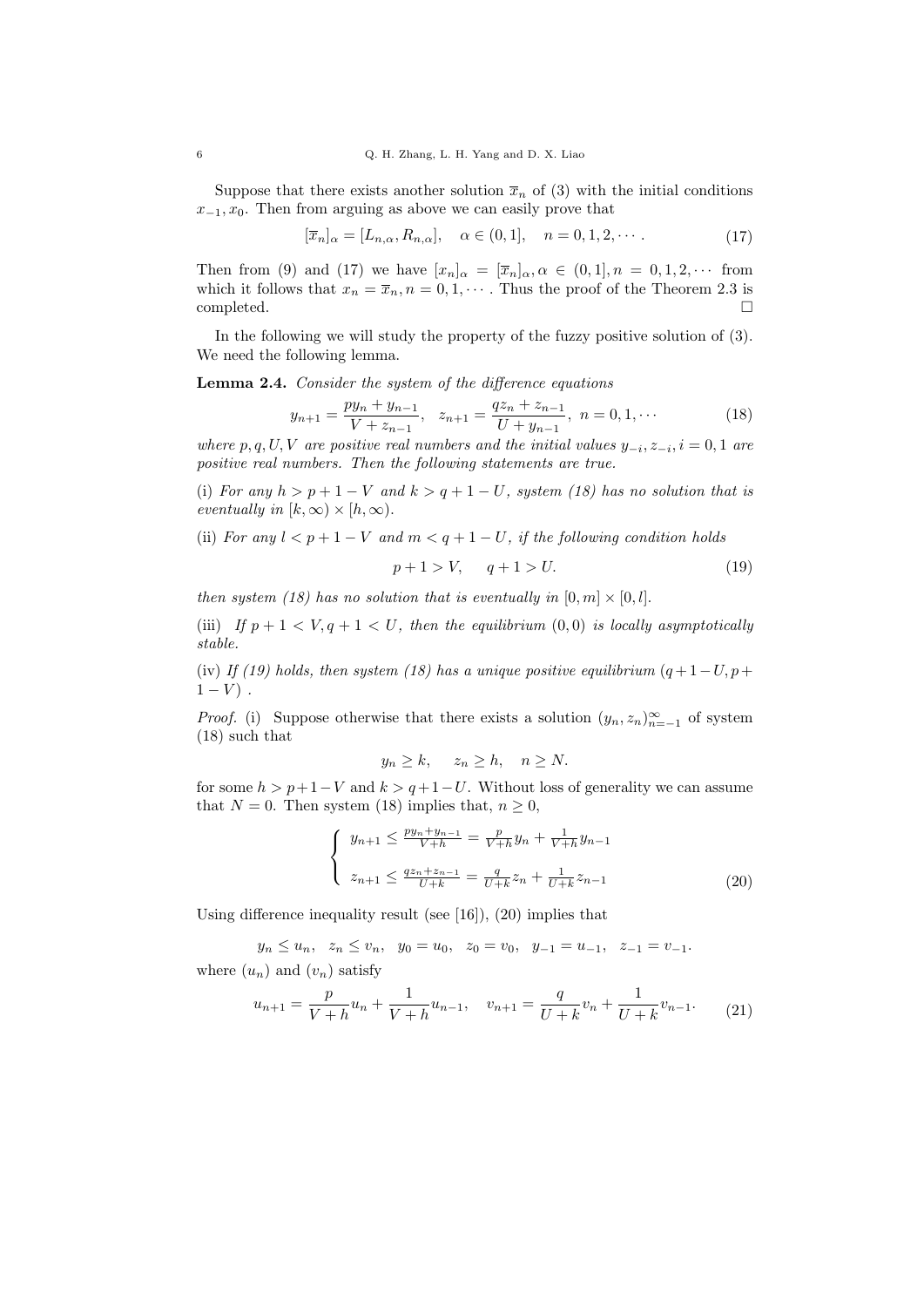Suppose that there exists another solution  $\bar{x}_n$  of (3) with the initial conditions  $x$ <sup>−1</sup>,  $x_0$ . Then from arguing as above we can easily prove that

$$
[\overline{x}_n]_{\alpha} = [L_{n,\alpha}, R_{n,\alpha}], \quad \alpha \in (0,1], \quad n = 0, 1, 2, \cdots.
$$
 (17)

Then from (9) and (17) we have  $[x_n]_{\alpha} = [\overline{x}_n]_{\alpha}, \alpha \in (0,1], n = 0,1,2,\cdots$  from which it follows that  $x_n = \overline{x}_n, n = 0, 1, \cdots$ . Thus the proof of the Theorem 2.3 is completed.

In the following we will study the property of the fuzzy positive solution of (3). We need the following lemma.

**Lemma 2.4.** *Consider the system of the difference equations*

$$
y_{n+1} = \frac{py_n + y_{n-1}}{V + z_{n-1}}, \quad z_{n+1} = \frac{qz_n + z_{n-1}}{U + y_{n-1}}, \quad n = 0, 1, \cdots
$$
 (18)

*where*  $p, q, U, V$  *are positive real numbers and the initial values*  $y_{-i}, z_{-i}, i = 0, 1$  *are positive real numbers. Then the following statements are true.*

(i) *For any*  $h > p + 1 - V$  *and*  $k > q + 1 - U$ *, system (18) has no solution that is eventually in*  $[k, \infty) \times [h, \infty)$ .

(ii) *For any*  $l < p + 1 - V$  *and*  $m < q + 1 - U$ *, if the following condition holds* 

$$
p+1 > V, \qquad q+1 > U. \tag{19}
$$

*then system (18) has no solution that is eventually in*  $[0, m] \times [0, l]$ *.* 

(iii) *If*  $p + 1 < V$ ,  $q + 1 < U$ , then the equilibrium  $(0, 0)$  *is locally asymptotically stable.*

(iv) If (19) holds, then system (18) has a unique positive equilibrium  $(q+1-U, p+1)$  $1 - V$ ).

*Proof.* (i) Suppose otherwise that there exists a solution  $(y_n, z_n)_{n=-1}^{\infty}$  of system (18) such that

$$
y_n \ge k, \quad z_n \ge h, \quad n \ge N.
$$

for some  $h > p+1-V$  and  $k > q+1-U$ . Without loss of generality we can assume that  $N = 0$ . Then system (18) implies that,  $n \geq 0$ ,

$$
\begin{cases} y_{n+1} \le \frac{py_n + y_{n-1}}{V + h} = \frac{p}{V + h} y_n + \frac{1}{V + h} y_{n-1} \\ z_{n+1} \le \frac{qz_n + z_{n-1}}{U + k} = \frac{q}{U + k} z_n + \frac{1}{U + k} z_{n-1} \end{cases}
$$
(20)

Using difference inequality result (see  $[16]$ ), (20) implies that

 $y_n \leq u_n, \quad z_n \leq v_n, \quad y_0 = u_0, \quad z_0 = v_0, \quad y_{-1} = u_{-1}, \quad z_{-1} = v_{-1}.$ where  $(u_n)$  and  $(v_n)$  satisfy

$$
u_{n+1} = \frac{p}{V+h}u_n + \frac{1}{V+h}u_{n-1}, \quad v_{n+1} = \frac{q}{U+k}v_n + \frac{1}{U+k}v_{n-1}.
$$
 (21)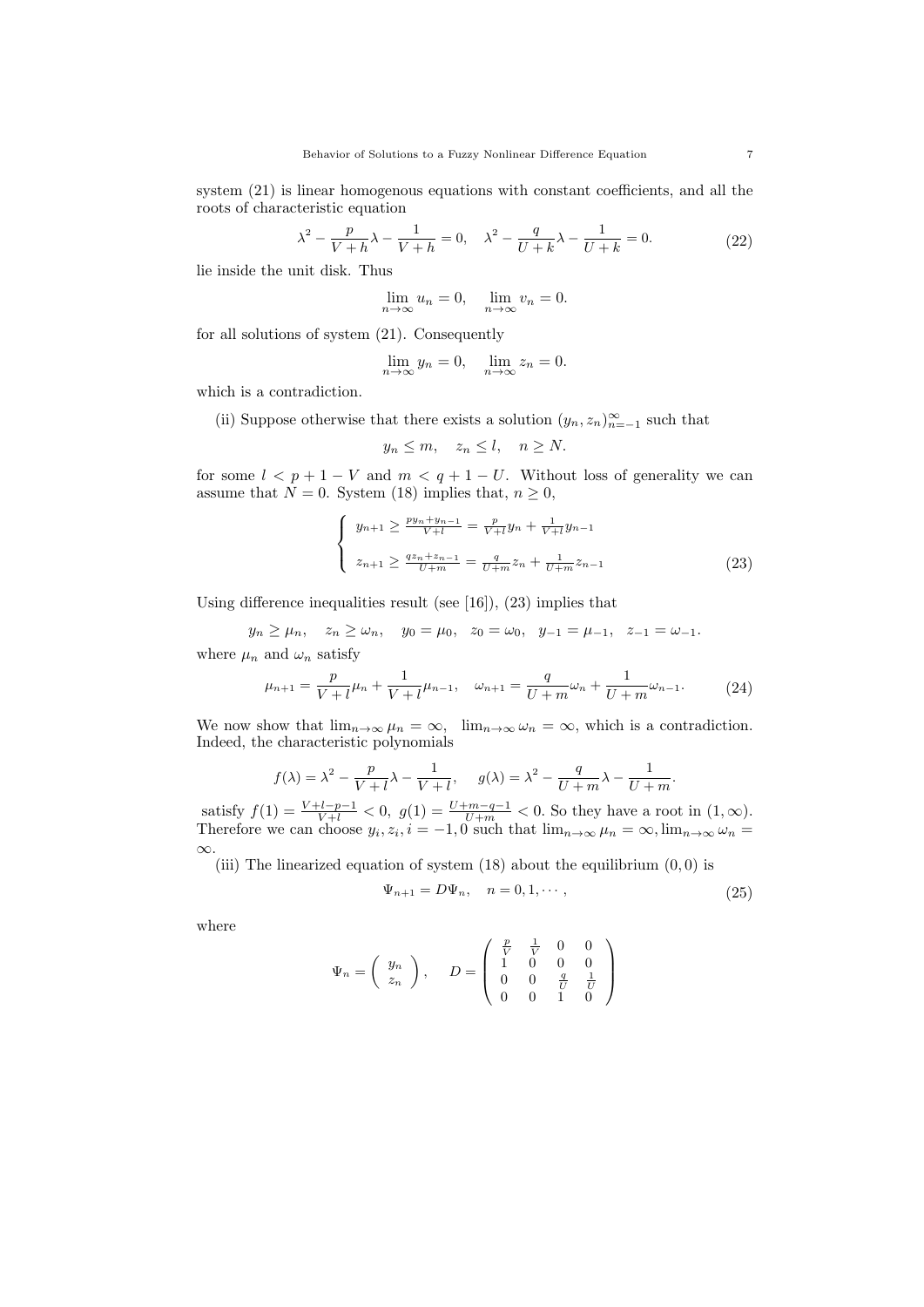system (21) is linear homogenous equations with constant coefficients, and all the roots of characteristic equation

$$
\lambda^{2} - \frac{p}{V+h}\lambda - \frac{1}{V+h} = 0, \quad \lambda^{2} - \frac{q}{U+k}\lambda - \frac{1}{U+k} = 0.
$$
 (22)

lie inside the unit disk. Thus

$$
\lim_{n \to \infty} u_n = 0, \quad \lim_{n \to \infty} v_n = 0.
$$

for all solutions of system (21). Consequently

$$
\lim_{n \to \infty} y_n = 0, \quad \lim_{n \to \infty} z_n = 0.
$$

which is a contradiction.

(ii) Suppose otherwise that there exists a solution  $(y_n, z_n)_{n=-1}^{\infty}$  such that

$$
y_n \le m, \quad z_n \le l, \quad n \ge N.
$$

for some  $l < p + 1 - V$  and  $m < q + 1 - U$ . Without loss of generality we can assume that  $\overline{N} = 0$ . System (18) implies that,  $n \geq 0$ ,

$$
\begin{cases} y_{n+1} \ge \frac{py_n + y_{n-1}}{V+1} = \frac{p}{V+1}y_n + \frac{1}{V+1}y_{n-1} \\ z_{n+1} \ge \frac{qz_n + z_{n-1}}{U+m} = \frac{q}{U+m}z_n + \frac{1}{U+m}z_{n-1} \end{cases}
$$
(23)

Using difference inequalities result (see [16]), (23) implies that

$$
y_n \ge \mu_n, \quad z_n \ge \omega_n, \quad y_0 = \mu_0, \quad z_0 = \omega_0, \quad y_{-1} = \mu_{-1}, \quad z_{-1} = \omega_{-1}.
$$
  
where  $\mu_n$  and  $\omega_n$  satisfy

$$
\mu_{n+1} = \frac{p}{V+l} \mu_n + \frac{1}{V+l} \mu_{n-1}, \quad \omega_{n+1} = \frac{q}{U+m} \omega_n + \frac{1}{U+m} \omega_{n-1}.
$$
 (24)

We now show that  $\lim_{n\to\infty}\mu_n=\infty$ ,  $\lim_{n\to\infty}\omega_n=\infty$ , which is a contradiction. Indeed, the characteristic polynomials

$$
f(\lambda) = \lambda^2 - \frac{p}{V+l}\lambda - \frac{1}{V+l}, \quad g(\lambda) = \lambda^2 - \frac{q}{U+m}\lambda - \frac{1}{U+m}.
$$

satisfy  $f(1) = \frac{V + l - p - 1}{V + l} < 0$ ,  $g(1) = \frac{U + m - q - 1}{U + m} < 0$ . So they have a root in  $(1, \infty)$ . Therefore we can choose  $y_i, z_i, i = -1, 0$  such that  $\lim_{n \to \infty} \mu_n = \infty$ ,  $\lim_{n \to \infty} \omega_n =$ *∞.*

(iii) The linearized equation of system  $(18)$  about the equilibrium  $(0,0)$  is

$$
\Psi_{n+1} = D\Psi_n, \quad n = 0, 1, \cdots,
$$
\n
$$
(25)
$$

where

$$
\Psi_n = \left(\begin{array}{c} y_n \\ z_n \end{array}\right), \quad D = \left(\begin{array}{cccc} \frac{p}{V} & \frac{1}{V} & 0 & 0 \\ 1 & 0 & 0 & 0 \\ 0 & 0 & \frac{q}{U} & \frac{1}{U} \\ 0 & 0 & 1 & 0 \end{array}\right)
$$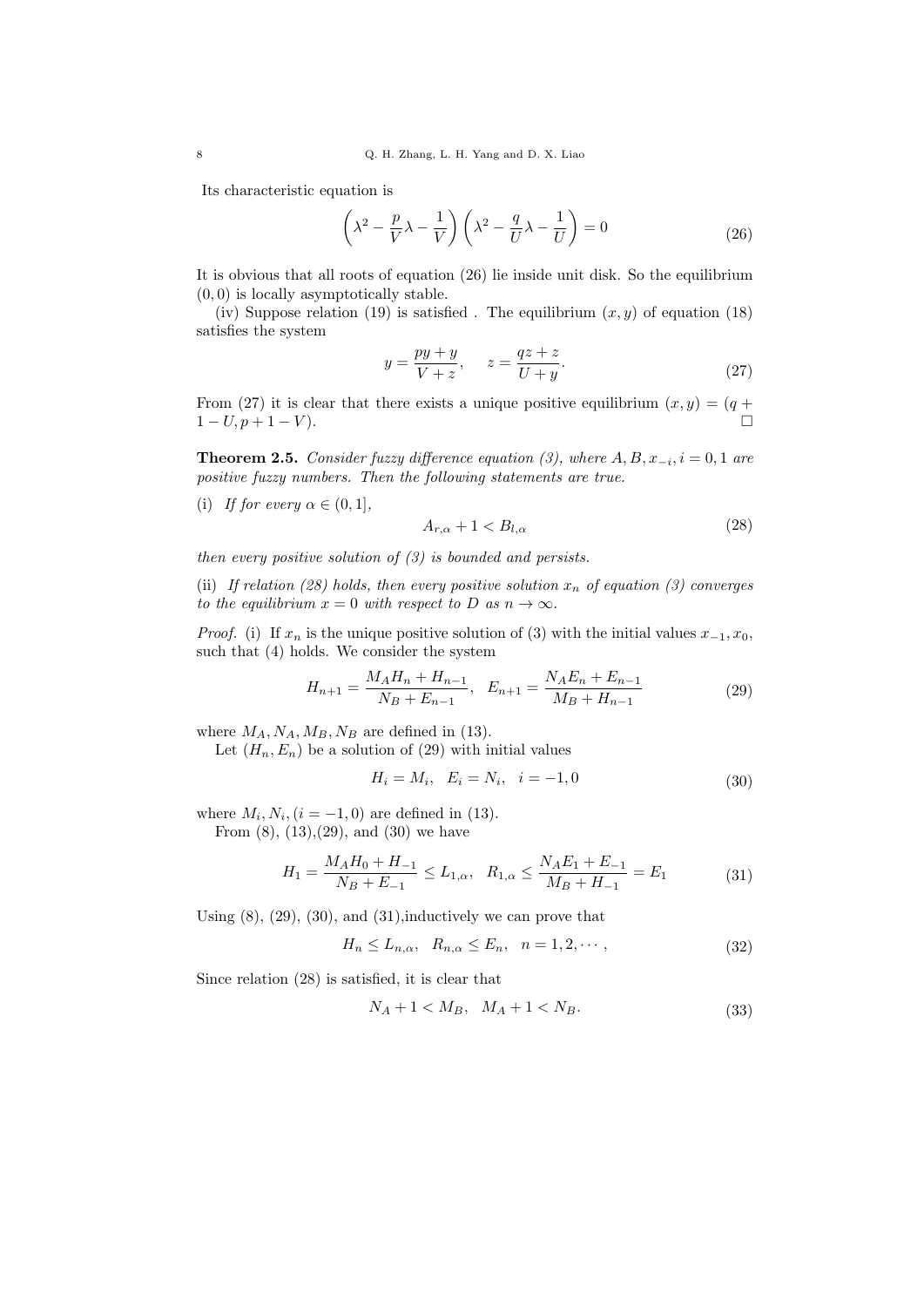Its characteristic equation is

$$
\left(\lambda^2 - \frac{p}{V}\lambda - \frac{1}{V}\right)\left(\lambda^2 - \frac{q}{U}\lambda - \frac{1}{U}\right) = 0\tag{26}
$$

It is obvious that all roots of equation (26) lie inside unit disk. So the equilibrium (0*,* 0) is locally asymptotically stable.

(iv) Suppose relation (19) is satisfied . The equilibrium  $(x, y)$  of equation (18) satisfies the system

$$
y = \frac{py + y}{V + z}, \qquad z = \frac{qz + z}{U + y}.
$$
\n
$$
(27)
$$

From (27) it is clear that there exists a unique positive equilibrium  $(x, y) = (q +$  $1 - U, p + 1 - V$ ).

**Theorem 2.5.** *Consider fuzzy difference equation (3), where*  $A, B, x_{-i}, i = 0, 1$  *are positive fuzzy numbers. Then the following statements are true.*

(i) *If for every*  $\alpha \in (0, 1]$ *,* 

$$
A_{r,\alpha} + 1 < B_{l,\alpha} \tag{28}
$$

*then every positive solution of (3) is bounded and persists.*

(ii) If relation (28) holds, then every positive solution  $x_n$  of equation (3) converges *to the equilibrium*  $x = 0$  *with respect to*  $D$  *as*  $n \to \infty$ *.* 

*Proof.* (i) If  $x_n$  is the unique positive solution of (3) with the initial values  $x_{-1}, x_0$ , such that (4) holds. We consider the system

$$
H_{n+1} = \frac{M_A H_n + H_{n-1}}{N_B + E_{n-1}}, \quad E_{n+1} = \frac{N_A E_n + E_{n-1}}{M_B + H_{n-1}} \tag{29}
$$

where  $M_A$ ,  $N_A$ ,  $M_B$ ,  $N_B$  are defined in (13).

Let  $(H_n, E_n)$  be a solution of (29) with initial values

$$
H_i = M_i, \quad E_i = N_i, \quad i = -1, 0 \tag{30}
$$

where  $M_i, N_i, (i = -1, 0)$  are defined in (13).

From  $(8)$ ,  $(13)$ ,  $(29)$ , and  $(30)$  we have

$$
H_1 = \frac{M_A H_0 + H_{-1}}{N_B + E_{-1}} \le L_{1,\alpha}, \quad R_{1,\alpha} \le \frac{N_A E_1 + E_{-1}}{M_B + H_{-1}} = E_1 \tag{31}
$$

Using  $(8)$ ,  $(29)$ ,  $(30)$ , and  $(31)$ , inductively we can prove that

$$
H_n \le L_{n,\alpha}, \quad R_{n,\alpha} \le E_n, \quad n = 1, 2, \cdots,
$$
\n
$$
(32)
$$

Since relation (28) is satisfied, it is clear that

$$
N_A + 1 < M_B, \quad M_A + 1 < N_B. \tag{33}
$$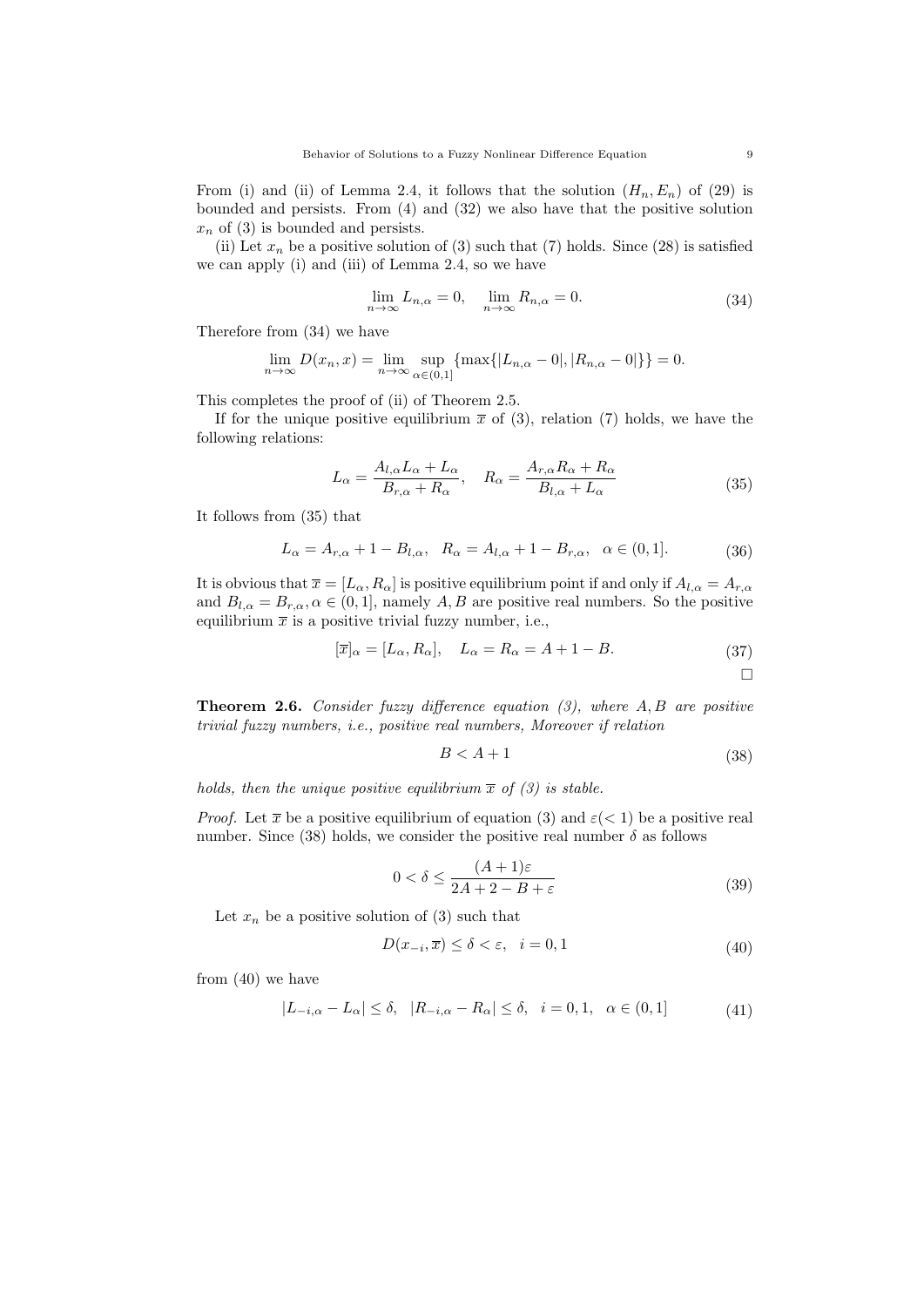From (i) and (ii) of Lemma 2.4, it follows that the solution  $(H_n, E_n)$  of (29) is bounded and persists. From (4) and (32) we also have that the positive solution  $x_n$  of (3) is bounded and persists.

(ii) Let  $x_n$  be a positive solution of (3) such that (7) holds. Since (28) is satisfied we can apply (i) and (iii) of Lemma 2.4, so we have

$$
\lim_{n \to \infty} L_{n,\alpha} = 0, \quad \lim_{n \to \infty} R_{n,\alpha} = 0.
$$
\n(34)

Therefore from (34) we have

$$
\lim_{n \to \infty} D(x_n, x) = \lim_{n \to \infty} \sup_{\alpha \in (0, 1]} \{ \max\{|L_{n,\alpha} - 0|, |R_{n,\alpha} - 0|\} \} = 0.
$$

This completes the proof of (ii) of Theorem 2.5.

If for the unique positive equilibrium  $\bar{x}$  of (3), relation (7) holds, we have the following relations:

$$
L_{\alpha} = \frac{A_{l,\alpha}L_{\alpha} + L_{\alpha}}{B_{r,\alpha} + R_{\alpha}}, \quad R_{\alpha} = \frac{A_{r,\alpha}R_{\alpha} + R_{\alpha}}{B_{l,\alpha} + L_{\alpha}}
$$
(35)

It follows from (35) that

$$
L_{\alpha} = A_{r,\alpha} + 1 - B_{l,\alpha}, \quad R_{\alpha} = A_{l,\alpha} + 1 - B_{r,\alpha}, \quad \alpha \in (0,1].
$$
 (36)

It is obvious that  $\bar{x} = [L_{\alpha}, R_{\alpha}]$  is positive equilibrium point if and only if  $A_{l,\alpha} = A_{r,\alpha}$ and  $B_{l,\alpha} = B_{r,\alpha}, \alpha \in (0,1]$ , namely *A*, *B* are positive real numbers. So the positive equilibrium  $\bar{x}$  is a positive trivial fuzzy number, i.e.,

$$
[\overline{x}]_{\alpha} = [L_{\alpha}, R_{\alpha}], \quad L_{\alpha} = R_{\alpha} = A + 1 - B. \tag{37}
$$

**Theorem 2.6.** *Consider fuzzy difference equation (3), where A, B are positive trivial fuzzy numbers, i.e., positive real numbers, Moreover if relation*

$$
B < A + 1 \tag{38}
$$

*holds, then the unique positive equilibrium*  $\bar{x}$  *of* (3) *is stable.* 

*Proof.* Let  $\bar{x}$  be a positive equilibrium of equation (3) and  $\varepsilon$  (< 1) be a positive real number. Since (38) holds, we consider the positive real number  $\delta$  as follows

$$
0 < \delta \le \frac{(A+1)\varepsilon}{2A+2-B+\varepsilon} \tag{39}
$$

Let  $x_n$  be a positive solution of (3) such that

$$
D(x_{-i}, \overline{x}) \le \delta < \varepsilon, \quad i = 0, 1 \tag{40}
$$

from (40) we have

$$
|L_{-i,\alpha} - L_{\alpha}| \leq \delta, \quad |R_{-i,\alpha} - R_{\alpha}| \leq \delta, \quad i = 0, 1, \quad \alpha \in (0, 1]
$$
 (41)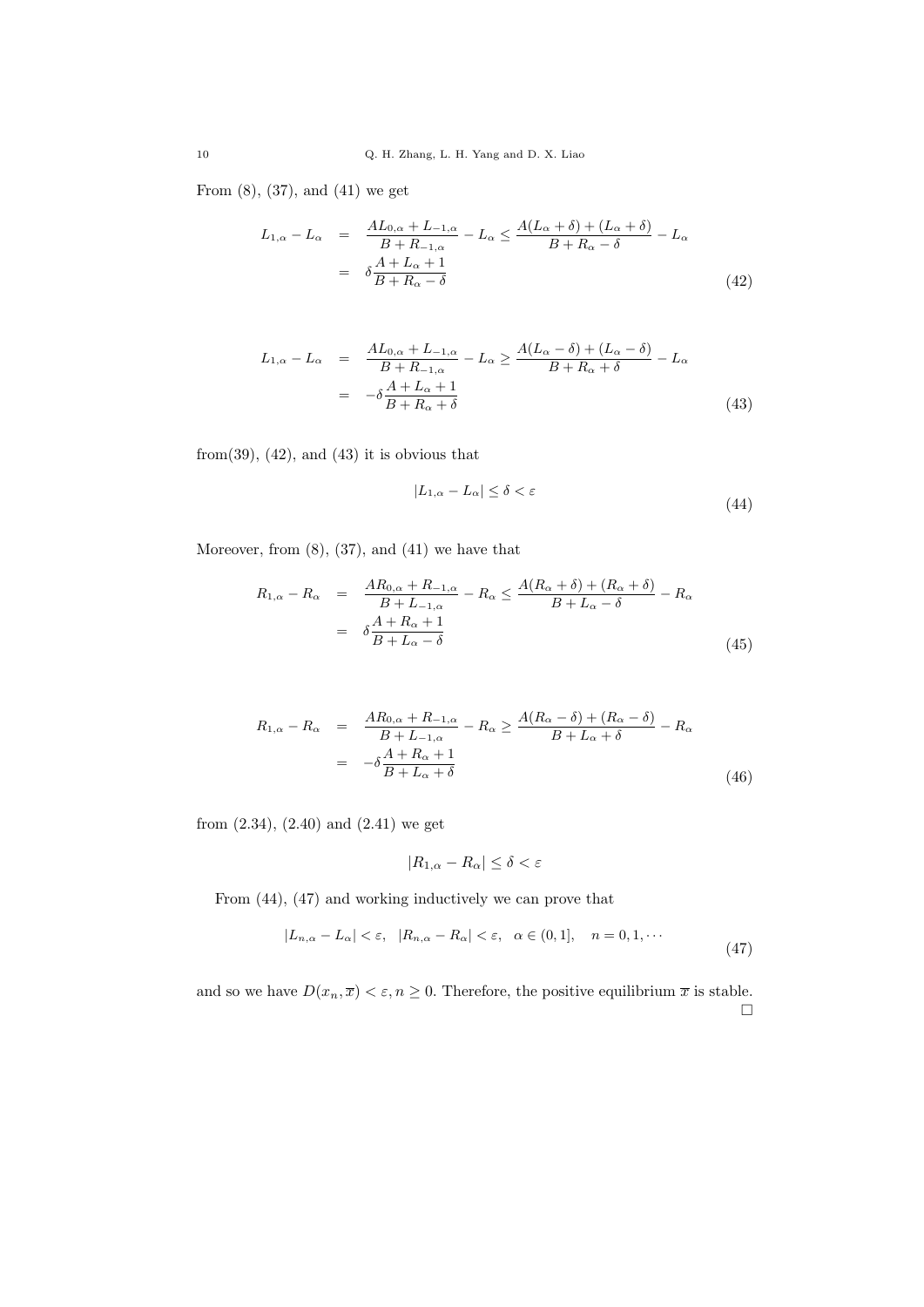From (8), (37), and (41) we get

$$
L_{1,\alpha} - L_{\alpha} = \frac{AL_{0,\alpha} + L_{-1,\alpha}}{B + R_{-1,\alpha}} - L_{\alpha} \le \frac{A(L_{\alpha} + \delta) + (L_{\alpha} + \delta)}{B + R_{\alpha} - \delta} - L_{\alpha}
$$
  

$$
= \delta \frac{A + L_{\alpha} + 1}{B + R_{\alpha} - \delta} \tag{42}
$$

$$
L_{1,\alpha} - L_{\alpha} = \frac{AL_{0,\alpha} + L_{-1,\alpha}}{B + R_{-1,\alpha}} - L_{\alpha} \ge \frac{A(L_{\alpha} - \delta) + (L_{\alpha} - \delta)}{B + R_{\alpha} + \delta} - L_{\alpha}
$$
  

$$
= -\delta \frac{A + L_{\alpha} + 1}{B + R_{\alpha} + \delta} \tag{43}
$$

from(39),  $(42)$ , and  $(43)$  it is obvious that

$$
|L_{1,\alpha} - L_{\alpha}| \le \delta < \varepsilon \tag{44}
$$

Moreover, from (8), (37), and (41) we have that

$$
R_{1,\alpha} - R_{\alpha} = \frac{AR_{0,\alpha} + R_{-1,\alpha}}{B + L_{-1,\alpha}} - R_{\alpha} \le \frac{A(R_{\alpha} + \delta) + (R_{\alpha} + \delta)}{B + L_{\alpha} - \delta} - R_{\alpha}
$$

$$
= \delta \frac{A + R_{\alpha} + 1}{B + L_{\alpha} - \delta} \tag{45}
$$

$$
R_{1,\alpha} - R_{\alpha} = \frac{AR_{0,\alpha} + R_{-1,\alpha}}{B + L_{-1,\alpha}} - R_{\alpha} \ge \frac{A(R_{\alpha} - \delta) + (R_{\alpha} - \delta)}{B + L_{\alpha} + \delta} - R_{\alpha}
$$

$$
= -\delta \frac{A + R_{\alpha} + 1}{B + L_{\alpha} + \delta} \tag{46}
$$

from (2.34), (2.40) and (2.41) we get

$$
|R_{1,\alpha} - R_{\alpha}| \le \delta < \varepsilon
$$

From (44), (47) and working inductively we can prove that

$$
|L_{n,\alpha} - L_{\alpha}| < \varepsilon, \quad |R_{n,\alpha} - R_{\alpha}| < \varepsilon, \quad \alpha \in (0,1], \quad n = 0, 1, \cdots \tag{47}
$$

and so we have  $D(x_n, \overline{x}) < \varepsilon, n \ge 0$ . Therefore, the positive equilibrium  $\overline{x}$  is stable.  $\Box$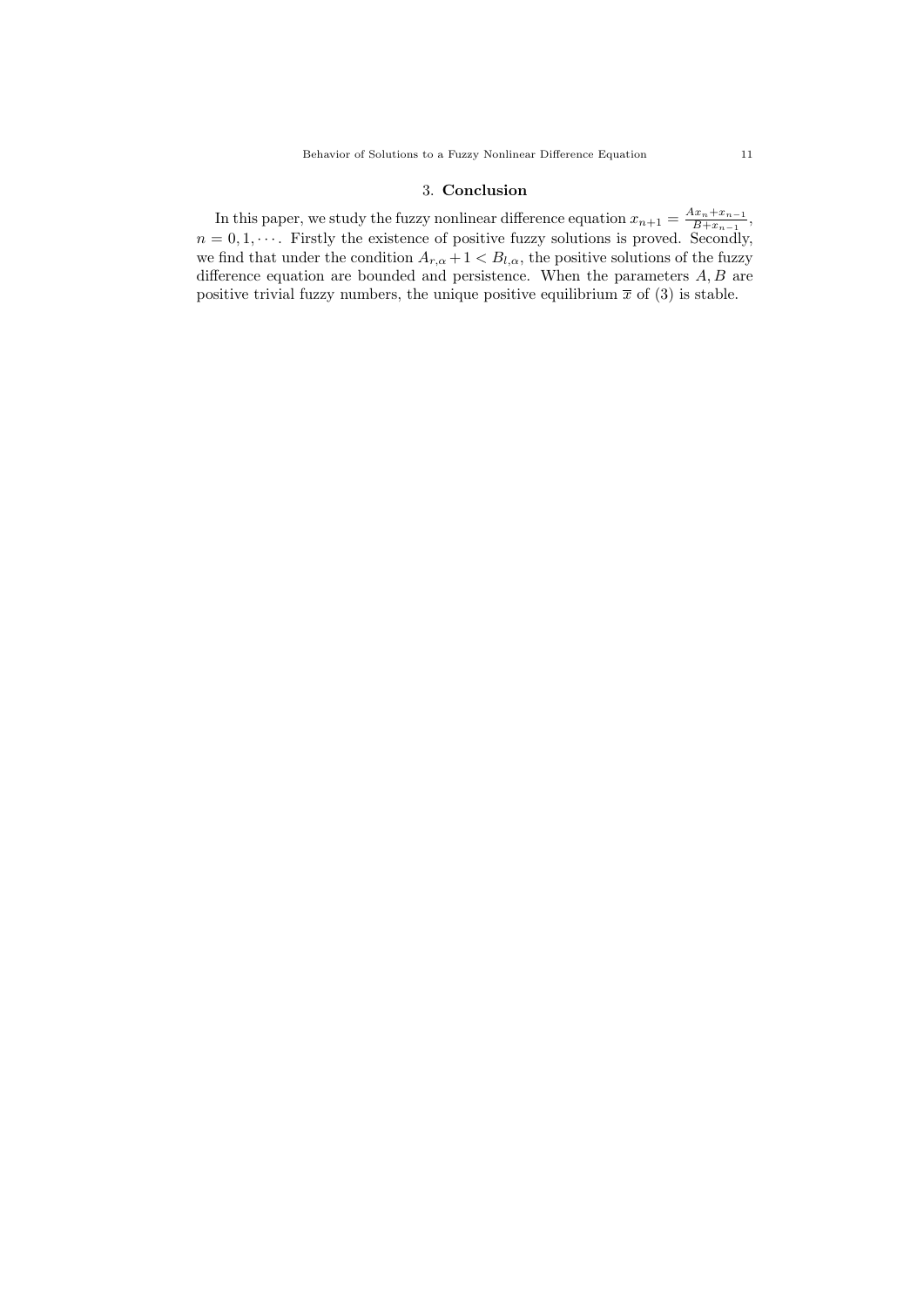## 3. **Conclusion**

In this paper, we study the fuzzy nonlinear difference equation  $x_{n+1} = \frac{Ax_n + x_{n-1}}{B + x_{n-1}}$  $\frac{4x_n + x_{n-1}}{B + x_{n-1}}$ ,  $n = 0, 1, \cdots$ . Firstly the existence of positive fuzzy solutions is proved. Secondly, we find that under the condition  $A_{r,\alpha} + 1 < B_{l,\alpha}$ , the positive solutions of the fuzzy difference equation are bounded and persistence. When the parameters *A, B* are positive trivial fuzzy numbers, the unique positive equilibrium  $\bar{x}$  of (3) is stable.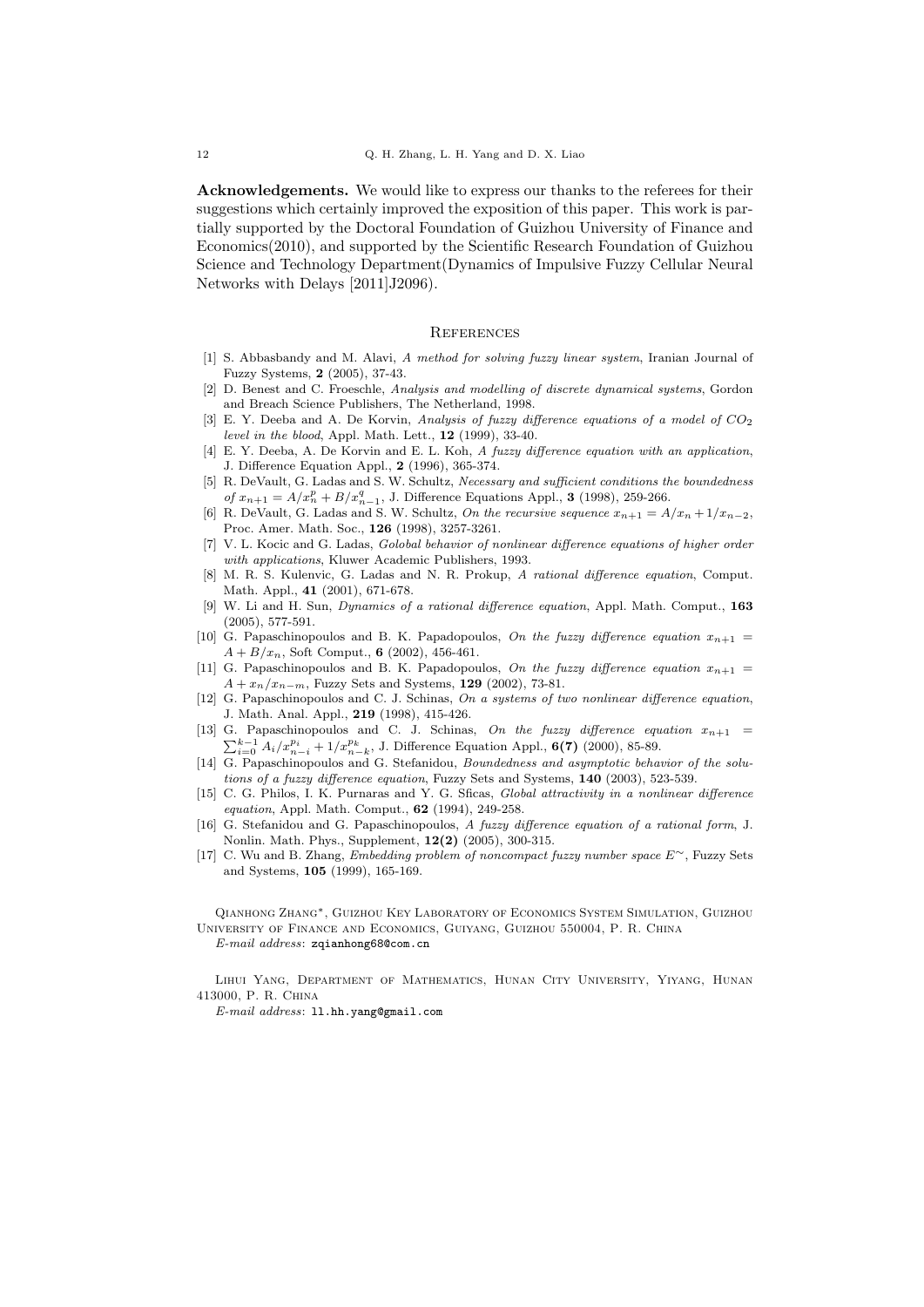**Acknowledgements.** We would like to express our thanks to the referees for their suggestions which certainly improved the exposition of this paper. This work is partially supported by the Doctoral Foundation of Guizhou University of Finance and Economics(2010), and supported by the Scientific Research Foundation of Guizhou Science and Technology Department(Dynamics of Impulsive Fuzzy Cellular Neural Networks with Delays [2011]J2096).

### **REFERENCES**

- [1] S. Abbasbandy and M. Alavi, *A method for solving fuzzy linear system*, Iranian Journal of Fuzzy Systems, **2** (2005), 37-43.
- [2] D. Benest and C. Froeschle, *Analysis and modelling of discrete dynamical systems*, Gordon and Breach Science Publishers, The Netherland, 1998.
- [3] E. Y. Deeba and A. De Korvin, *Analysis of fuzzy difference equations of a model of CO*<sup>2</sup> *level in the blood*, Appl. Math. Lett., **12** (1999), 33-40.
- [4] E. Y. Deeba, A. De Korvin and E. L. Koh, *A fuzzy difference equation with an application*, J. Difference Equation Appl., **2** (1996), 365-374.
- [5] R. DeVault, G. Ladas and S. W. Schultz, *Necessary and sufficient conditions the boundedness*  $of x_{n+1} = A/x_n^p + B/x_{n-1}^q$ , J. Difference Equations Appl., **3** (1998), 259-266.
- [6] R. DeVault, G. Ladas and S. W. Schultz, *On the recursive sequence*  $x_{n+1} = A/x_n + 1/x_{n-2}$ , Proc. Amer. Math. Soc., **126** (1998), 3257-3261.
- [7] V. L. Kocic and G. Ladas, *Golobal behavior of nonlinear difference equations of higher order with applications*, Kluwer Academic Publishers, 1993.
- [8] M. R. S. Kulenvic, G. Ladas and N. R. Prokup, *A rational difference equation*, Comput. Math. Appl., **41** (2001), 671-678.
- [9] W. Li and H. Sun, *Dynamics of a rational difference equation*, Appl. Math. Comput., **163** (2005), 577-591.
- [10] G. Papaschinopoulos and B. K. Papadopoulos, *On the fuzzy difference equation*  $x_{n+1}$  $A + B/x_n$ , Soft Comput., **6** (2002), 456-461.
- [11] G. Papaschinopoulos and B. K. Papadopoulos, *On the fuzzy difference equation*  $x_{n+1}$  = *A* + *x*<sup>*n*</sup>/*x*<sup>*n*</sup>*−m*, Fuzzy Sets and Systems, **129** (2002), 73-81.
- [12] G. Papaschinopoulos and C. J. Schinas, *On a systems of two nonlinear difference equation*, J. Math. Anal. Appl., **219** (1998), 415-426.
- [13] G. Papaschinopoulos and C. J. Schinas, *On the fuzzy difference equation*  $x_{n+1}$  =  $\sum_{i=0}^{k-1} A_i / x_{n-i}^{p_i} + 1 / x_{n-k}^{p_k}$ , J. Difference Equation Appl., **6(7)** (2000), 85-89.
- [14] G. Papaschinopoulos and G. Stefanidou, *Boundedness and asymptotic behavior of the solutions of a fuzzy difference equation*, Fuzzy Sets and Systems, **140** (2003), 523-539.
- [15] C. G. Philos, I. K. Purnaras and Y. G. Sficas, *Global attractivity in a nonlinear difference equation*, Appl. Math. Comput., **62** (1994), 249-258.
- [16] G. Stefanidou and G. Papaschinopoulos, *A fuzzy difference equation of a rational form*, J. Nonlin. Math. Phys., Supplement, **12(2)** (2005), 300-315.
- [17] C. Wu and B. Zhang, *Embedding problem of noncompact fuzzy number space E∼*, Fuzzy Sets and Systems, **105** (1999), 165-169.

Qianhong Zhang*∗*, Guizhou Key Laboratory of Economics System Simulation, Guizhou University of Finance and Economics, Guiyang, Guizhou 550004, P. R. China *E-mail address*: zqianhong68@com.cn

Lihui Yang, Department of Mathematics, Hunan City University, Yiyang, Hunan 413000, P. R. China

*E-mail address*: ll.hh.yang@gmail.com